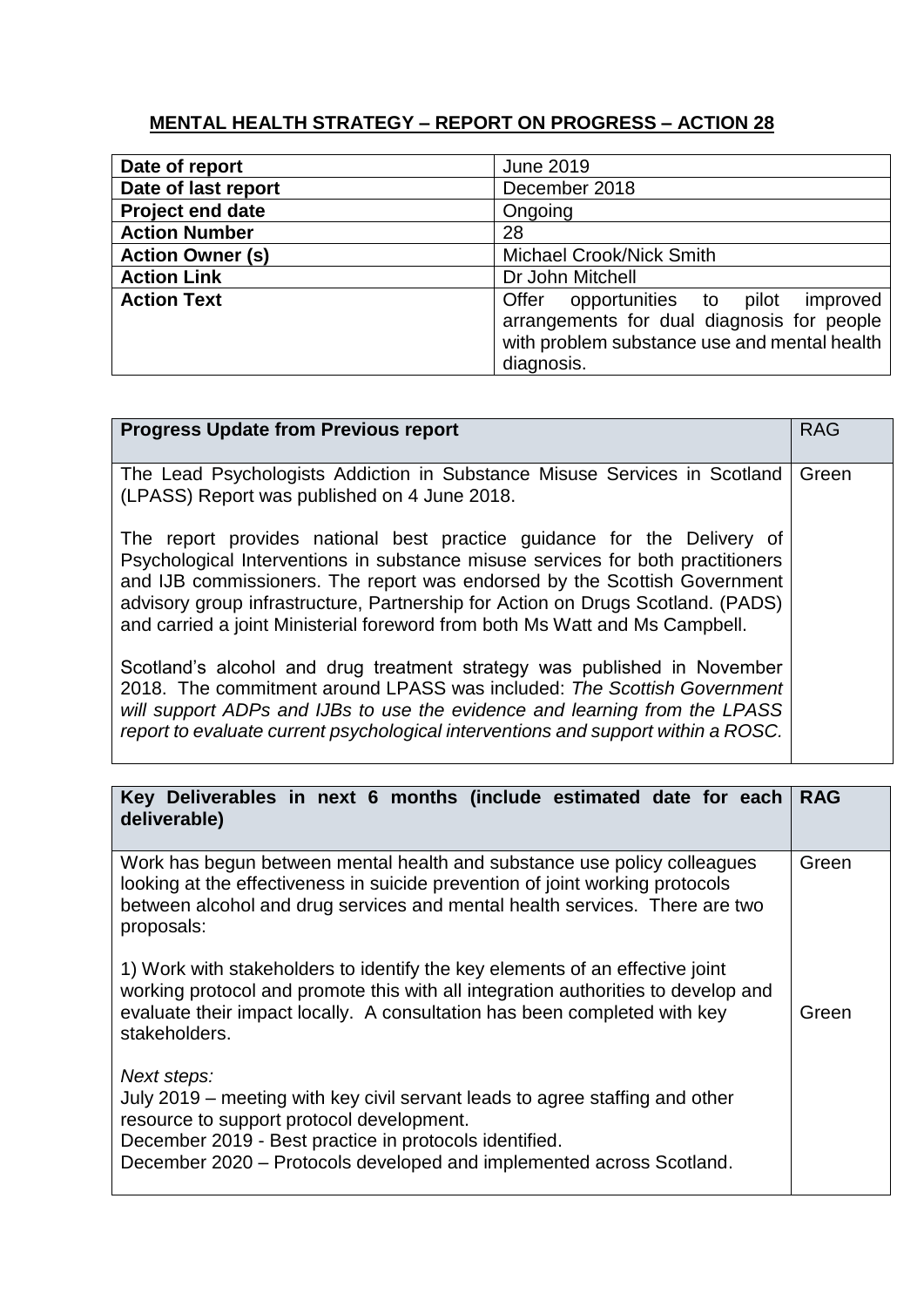## **MENTAL HEALTH STRATEGY – REPORT ON PROGRESS – ACTION 28**

| Date of report          | <b>June 2019</b>                                                                                                                                     |
|-------------------------|------------------------------------------------------------------------------------------------------------------------------------------------------|
| Date of last report     | December 2018                                                                                                                                        |
| <b>Project end date</b> | Ongoing                                                                                                                                              |
| <b>Action Number</b>    | 28                                                                                                                                                   |
| <b>Action Owner (s)</b> | <b>Michael Crook/Nick Smith</b>                                                                                                                      |
| <b>Action Link</b>      | Dr John Mitchell                                                                                                                                     |
| <b>Action Text</b>      | Offer opportunities to pilot<br>improved<br>arrangements for dual diagnosis for people<br>with problem substance use and mental health<br>diagnosis. |

| <b>Progress Update from Previous report</b>                                                                                                                                                                                                                                                                                                                                                               | <b>RAG</b> |
|-----------------------------------------------------------------------------------------------------------------------------------------------------------------------------------------------------------------------------------------------------------------------------------------------------------------------------------------------------------------------------------------------------------|------------|
| The Lead Psychologists Addiction in Substance Misuse Services in Scotland<br>(LPASS) Report was published on 4 June 2018.                                                                                                                                                                                                                                                                                 | Green      |
| The report provides national best practice guidance for the Delivery of<br>Psychological Interventions in substance misuse services for both practitioners<br>and IJB commissioners. The report was endorsed by the Scottish Government<br>advisory group infrastructure, Partnership for Action on Drugs Scotland. (PADS)<br>and carried a joint Ministerial foreword from both Ms Watt and Ms Campbell. |            |
| Scotland's alcohol and drug treatment strategy was published in November<br>2018. The commitment around LPASS was included: The Scottish Government<br>will support ADPs and IJBs to use the evidence and learning from the LPASS<br>report to evaluate current psychological interventions and support within a ROSC.                                                                                    |            |

| Key Deliverables in next 6 months (include estimated date for each<br>deliverable)                                                                                                                                                                                         | <b>RAG</b> |
|----------------------------------------------------------------------------------------------------------------------------------------------------------------------------------------------------------------------------------------------------------------------------|------------|
| Work has begun between mental health and substance use policy colleagues<br>looking at the effectiveness in suicide prevention of joint working protocols<br>between alcohol and drug services and mental health services. There are two<br>proposals:                     | Green      |
| 1) Work with stakeholders to identify the key elements of an effective joint<br>working protocol and promote this with all integration authorities to develop and<br>evaluate their impact locally. A consultation has been completed with key<br>stakeholders.            | Green      |
| Next steps:<br>July 2019 – meeting with key civil servant leads to agree staffing and other<br>resource to support protocol development.<br>December 2019 - Best practice in protocols identified.<br>December 2020 - Protocols developed and implemented across Scotland. |            |